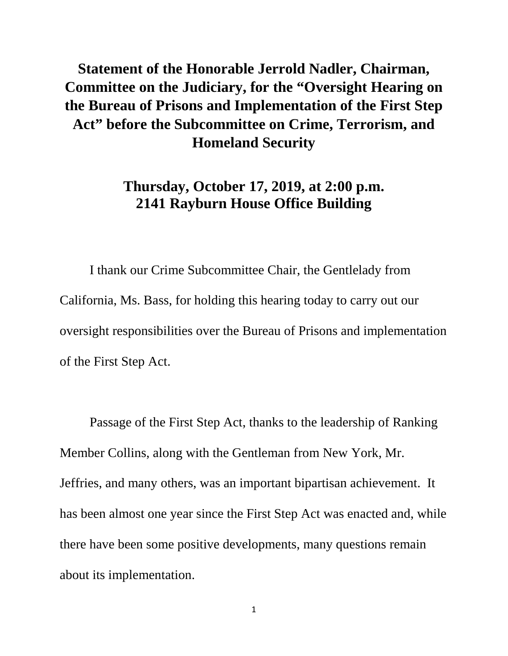## **Statement of the Honorable Jerrold Nadler, Chairman, Committee on the Judiciary, for the "Oversight Hearing on the Bureau of Prisons and Implementation of the First Step Act" before the Subcommittee on Crime, Terrorism, and Homeland Security**

## **Thursday, October 17, 2019, at 2:00 p.m. 2141 Rayburn House Office Building**

I thank our Crime Subcommittee Chair, the Gentlelady from California, Ms. Bass, for holding this hearing today to carry out our oversight responsibilities over the Bureau of Prisons and implementation of the First Step Act.

Passage of the First Step Act, thanks to the leadership of Ranking Member Collins, along with the Gentleman from New York, Mr. Jeffries, and many others, was an important bipartisan achievement. It has been almost one year since the First Step Act was enacted and, while there have been some positive developments, many questions remain about its implementation.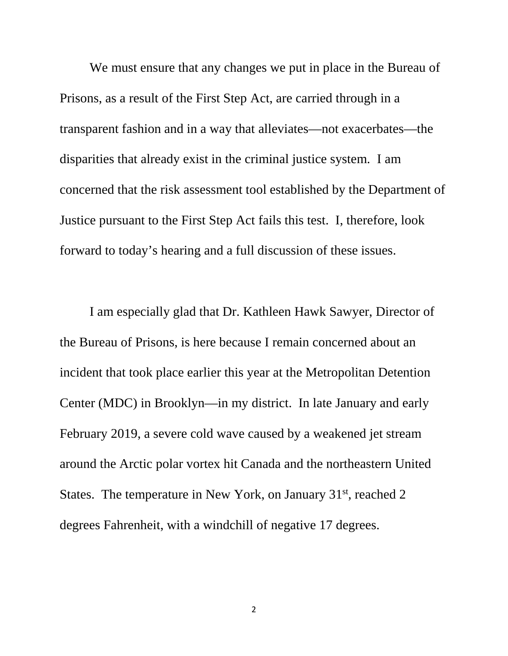We must ensure that any changes we put in place in the Bureau of Prisons, as a result of the First Step Act, are carried through in a transparent fashion and in a way that alleviates—not exacerbates—the disparities that already exist in the criminal justice system. I am concerned that the risk assessment tool established by the Department of Justice pursuant to the First Step Act fails this test. I, therefore, look forward to today's hearing and a full discussion of these issues.

I am especially glad that Dr. Kathleen Hawk Sawyer, Director of the Bureau of Prisons, is here because I remain concerned about an incident that took place earlier this year at the Metropolitan Detention Center (MDC) in Brooklyn—in my district. In late January and early February 2019, a severe cold wave caused by a weakened jet stream around the Arctic polar vortex hit Canada and the northeastern United States. The temperature in New York, on January 31<sup>st</sup>, reached 2 degrees Fahrenheit, with a windchill of negative 17 degrees.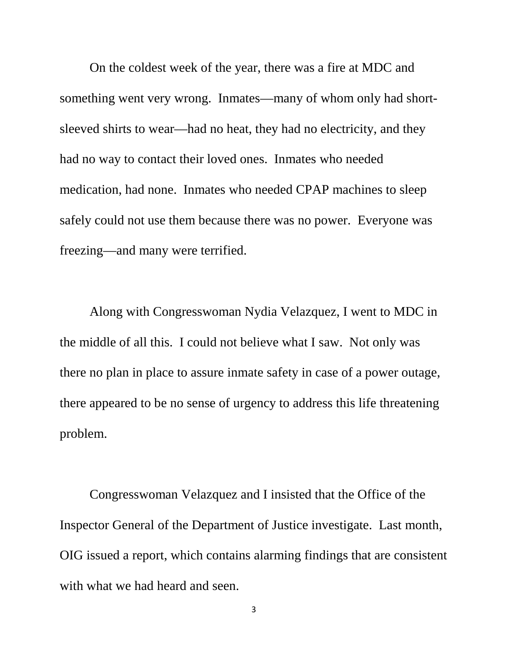On the coldest week of the year, there was a fire at MDC and something went very wrong. Inmates—many of whom only had shortsleeved shirts to wear—had no heat, they had no electricity, and they had no way to contact their loved ones. Inmates who needed medication, had none. Inmates who needed CPAP machines to sleep safely could not use them because there was no power. Everyone was freezing—and many were terrified.

Along with Congresswoman Nydia Velazquez, I went to MDC in the middle of all this. I could not believe what I saw. Not only was there no plan in place to assure inmate safety in case of a power outage, there appeared to be no sense of urgency to address this life threatening problem.

Congresswoman Velazquez and I insisted that the Office of the Inspector General of the Department of Justice investigate. Last month, OIG issued a report, which contains alarming findings that are consistent with what we had heard and seen.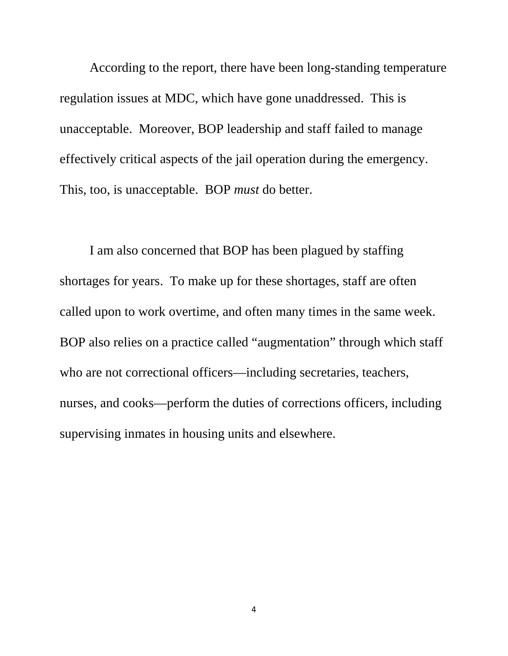According to the report, there have been long-standing temperature regulation issues at MDC, which have gone unaddressed. This is unacceptable. Moreover, BOP leadership and staff failed to manage effectively critical aspects of the jail operation during the emergency. This, too, is unacceptable. BOP *must* do better.

I am also concerned that BOP has been plagued by staffing shortages for years. To make up for these shortages, staff are often called upon to work overtime, and often many times in the same week. BOP also relies on a practice called "augmentation" through which staff who are not correctional officers—including secretaries, teachers, nurses, and cooks—perform the duties of corrections officers, including supervising inmates in housing units and elsewhere.